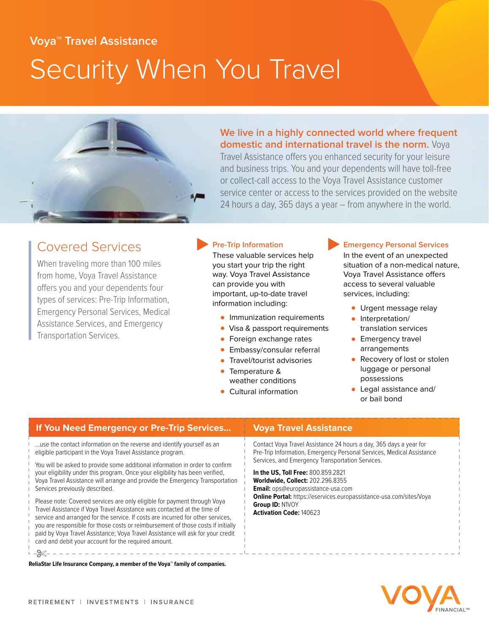# **Voya™ Travel Assistance** Security When You Travel



**We live in a highly connected world where frequent domestic and international travel is the norm.** Voya

Travel Assistance offers you enhanced security for your leisure and business trips. You and your dependents will have toll-free or collect-call access to the Voya Travel Assistance customer service center or access to the services provided on the website 24 hours a day, 365 days a year – from anywhere in the world.

## Covered Services

When traveling more than 100 miles from home, Voya Travel Assistance offers you and your dependents four types of services: Pre-Trip Information, Emergency Personal Services, Medical Assistance Services, and Emergency Transportation Services.

## **Pre-Trip Information**

These valuable services help you start your trip the right way. Voya Travel Assistance can provide you with important, up-to-date travel information including:

- Immunization requirements
- Visa & passport requirements
- Foreign exchange rates
- Embassy/consular referral
- Travel/tourist advisories
- Temperature & weather conditions
- Cultural information

#### **Emergency Personal Services**

In the event of an unexpected situation of a non-medical nature, Voya Travel Assistance offers access to several valuable services, including:

- Urgent message relay
- Interpretation/ translation services
- **•** Emergency travel arrangements
- Recovery of lost or stolen luggage or personal possessions
- Legal assistance and/ or bail bond

| If You Need Emergency or Pre-Trip Services                                                                                                                                                                                                                                                                                                                                                                                                                                                                                                                                                                                                                                                                                                                                                                                                                                                                                                                                         | <b>Voya Travel Assistance</b>                                                                                                                                                                                                                                                                                                                                                                                                                                    |
|------------------------------------------------------------------------------------------------------------------------------------------------------------------------------------------------------------------------------------------------------------------------------------------------------------------------------------------------------------------------------------------------------------------------------------------------------------------------------------------------------------------------------------------------------------------------------------------------------------------------------------------------------------------------------------------------------------------------------------------------------------------------------------------------------------------------------------------------------------------------------------------------------------------------------------------------------------------------------------|------------------------------------------------------------------------------------------------------------------------------------------------------------------------------------------------------------------------------------------------------------------------------------------------------------------------------------------------------------------------------------------------------------------------------------------------------------------|
| use the contact information on the reverse and identify yourself as an<br>eligible participant in the Voya Travel Assistance program.<br>You will be asked to provide some additional information in order to confirm<br>your eligibility under this program. Once your eligibility has been verified,<br>Voya Travel Assistance will arrange and provide the Emergency Transportation<br>Services previously described.<br>Please note: Covered services are only eligible for payment through Voya<br>Travel Assistance if Voya Travel Assistance was contacted at the time of<br>service and arranged for the service. If costs are incurred for other services,<br>you are responsible for those costs or reimbursement of those costs if initially<br>paid by Voya Travel Assistance; Voya Travel Assistance will ask for your credit<br>card and debit your account for the required amount.<br>ReliaStar Life Insurance Company, a member of the Vova™ family of companies. | Contact Voya Travel Assistance 24 hours a day, 365 days a year for<br>Pre-Trip Information, Emergency Personal Services, Medical Assistance<br>Services, and Emergency Transportation Services.<br>In the US, Toll Free: 800.859.2821<br><b>Worldwide, Collect: 202.296.8355</b><br><b>Email:</b> ops@europassistance-usa.com<br><b>Online Portal:</b> https://eservices.europassistance-usa.com/sites/Voya<br>Group ID: N1VOY<br><b>Activation Code: 140623</b> |
|                                                                                                                                                                                                                                                                                                                                                                                                                                                                                                                                                                                                                                                                                                                                                                                                                                                                                                                                                                                    |                                                                                                                                                                                                                                                                                                                                                                                                                                                                  |